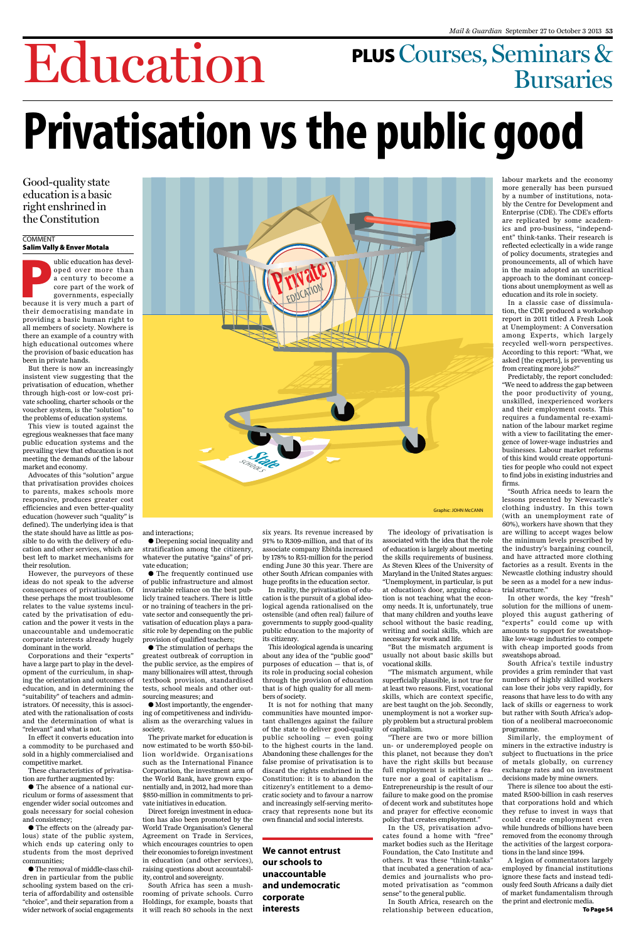

# Education plusCourses, Seminars & Bursaries **Privatisation vs the public good**

### Good-quality state education is a basic right enshrined in the Constitution

#### **COMMENT**

### Salim Vally & Enver Motala

a bilic education has developed over more than<br>a century to become a<br>core part of the work of<br>governments, especially<br>because it is very much a part of ublic education has developed over more than a century to become a core part of the work of governments, especially their democratising mandate in providing a basic human right to all members of society. Nowhere is there an example of a country with high educational outcomes where the provision of basic education has been in private hands.

But there is now an increasingly insistent view suggesting that the privatisation of education, whether through high-cost or low-cost private schooling, charter schools or the voucher system, is the "solution" to the problems of education systems.

This view is touted against the egregious weaknesses that face many public education systems and the prevailing view that education is not meeting the demands of the labour market and economy.

Advocates of this "solution" argue that privatisation provides choices to parents, makes schools more responsive, produces greater cost efficiencies and even better-quality education (however such "quality" is defined). The underlying idea is that the state should have as little as possible to do with the delivery of education and other services, which are best left to market mechanisms for their resolution.

However, the purveyors of these ideas do not speak to the adverse consequences of privatisation. Of these perhaps the most troublesome relates to the value systems inculcated by the privatisation of education and the power it vests in the unaccountable and undemocratic corporate interests already hugely dominant in the world.

Corporations and their "experts" have a large part to play in the development of the curriculum, in shaping the orientation and outcomes of education, and in determining the "suitability" of teachers and administrators. Of necessity, this is associated with the rationalisation of costs

and the determination of what is "relevant" and what is not.

In effect it converts education into a commodity to be purchased and sold in a highly commercialised and competitive market.

These characteristics of privatisation are further augmented by:

• The absence of a national curriculum or forms of assessment that engender wider social outcomes and goals necessary for social cohesion and consistency;

• The effects on the (already parlous) state of the public system, which ends up catering only to students from the most deprived communities;

• The removal of middle-class children in particular from the public schooling system based on the criteria of affordability and ostensible "choice", and their separation from a wider network of social engagements and interactions;

• Deepening social inequality and stratification among the citizenry, whatever the putative "gains" of private education;

• The frequently continued use of public infrastructure and almost invariable reliance on the best publicly trained teachers. There is little or no training of teachers in the private sector and consequently the privatisation of education plays a parasitic role by depending on the public provision of qualified teachers;

• The stimulation of perhaps the greatest outbreak of corruption in the public service, as the empires of many billionaires will attest, through textbook provision, standardised tests, school meals and other outsourcing measures; and

• Most importantly, the engendering of competitiveness and individualism as the overarching values in society.

The private market for education is now estimated to be worth \$50-billion worldwide. Organisations such as the International Finance Corporation, the investment arm of the World Bank, have grown exponentially and, in 2012, had more than \$850-million in commitments to private initiatives in education.

Direct foreign investment in education has also been promoted by the World Trade Organisation's General Agreement on Trade in Services, which encourages countries to open their economies to foreign investment in education (and other services), raising questions about accountability, control and sovereignty.

South Africa has seen a mushrooming of private schools. Curro Holdings, for example, boasts that it will reach 80 schools in the next

six years. Its revenue increased by 91% to R309-million, and that of its associate company Ebitda increased by 178% to R51-million for the period ending June 30 this year. There are other South African companies with huge profits in the education sector.

In reality, the privatisation of education is the pursuit of a global ideological agenda rationalised on the ostensible (and often real) failure of governments to supply good-quality public education to the majority of its citizenry.

This ideological agenda is uncaring about any idea of the "public good" purposes of education — that is, of its role in producing social cohesion through the provision of education that is of high quality for all members of society.

It is not for nothing that many communities have mounted impor-

tant challenges against the failure of the state to deliver good-quality public schooling — even going to the highest courts in the land. Abandoning these challenges for the false promise of privatisation is to discard the rights enshrined in the Constitution: it is to abandon the citizenry's entitlement to a democratic society and to favour a narrow and increasingly self-serving meritocracy that represents none but its own financial and social interests.

The ideology of privatisation is associated with the idea that the role of education is largely about meeting the skills requirements of business. As Steven Klees of the University of Maryland in the United States argues: "Unemployment, in particular, is put at education's door, arguing education is not teaching what the economy needs. It is, unfortunately, true that many children and youths leave school without the basic reading, writing and social skills, which are necessary for work and life.

"But the mismatch argument is usually not about basic skills but vocational skills.

"The mismatch argument, while superficially plausible, is not true for at least two reasons. First, vocational skills, which are context specific, are best taught on the job. Secondly, unemployment is not a worker sup-

#### ply problem but a structural problem of capitalism.

"There are two or more billion un- or underemployed people on this planet, not because they don't have the right skills but because full employment is neither a feature nor a goal of capitalism … Entrepreneurship is the result of our failure to make good on the promise of decent work and substitutes hope and prayer for effective economic policy that creates employment."

In the US, privatisation advocates found a home with "free" market bodies such as the Heritage Foundation, the Cato Institute and others. It was these "think-tanks" that incubated a generation of academics and journalists who promoted privatisation as "common sense" to the general public.

In South Africa, research on the relationship between education,

labour markets and the economy more generally has been pursued by a number of institutions, notably the Centre for Development and Enterprise (CDE). The CDE's efforts are replicated by some academics and pro-business, "independent" think-tanks. Their research is reflected eclectically in a wide range of policy documents, strategies and pronouncements, all of which have in the main adopted an uncritical approach to the dominant conceptions about unemployment as well as education and its role in society.

In a classic case of dissimulation, the CDE produced a workshop report in 2011 titled A Fresh Look at Unemployment: A Conversation among Experts, which largely recycled well-worn perspectives. According to this report: "What, we asked [the experts], is preventing us from creating more jobs?"

Predictably, the report concluded: "We need to address the gap between the poor productivity of young, unskilled, inexperienced workers and their employment costs. This requires a fundamental re-examination of the labour market regime with a view to facilitating the emergence of lower-wage industries and businesses. Labour market reforms of this kind would create opportunities for people who could not expect to find jobs in existing industries and firms.

"South Africa needs to learn the lessons presented by Newcastle's clothing industry. In this town (with an unemployment rate of 60%), workers have shown that they are willing to accept wages below the minimum levels prescribed by the industry's bargaining council, and have attracted more clothing factories as a result. Events in the Newcastle clothing industry should be seen as a model for a new industrial structure."

In other words, the key "fresh" solution for the millions of unemployed this august gathering of "experts" could come up with amounts to support for sweatshoplike low-wage industries to compete with cheap imported goods from sweatshops abroad.

South Africa's textile industry provides a grim reminder that vast numbers of highly skilled workers can lose their jobs very rapidly, for reasons that have less to do with any lack of skills or eagerness to work but rather with South Africa's adop-

tion of a neoliberal macroeconomic programme.

Similarly, the employment of miners in the extractive industry is subject to fluctuations in the price of metals globally, on currency exchange rates and on investment decisions made by mine owners.

There is silence too about the estimated R500-billion in cash reserves that corporations hold and which they refuse to invest in ways that could create employment even while hundreds of billions have been removed from the economy through the activities of the largest corporations in the land since 1994.

A legion of commentators largely employed by financial institutions ignore these facts and instead tediously feed South Africans a daily diet of market fundamentalism through the print and electronic media.

To Page 54

### **We cannot entrust our schools to unaccountable and undemocratic corporate interests**